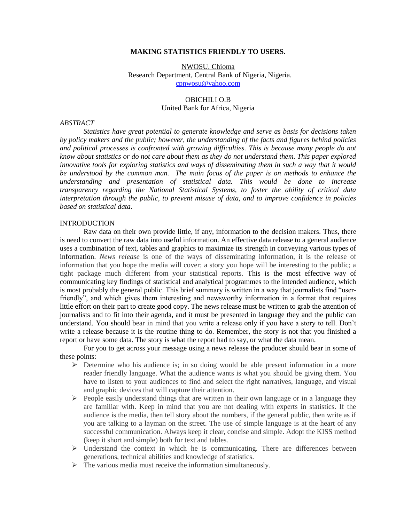#### **MAKING STATISTICS FRIENDLY TO USERS.**

NWOSU, Chioma Research Department, Central Bank of Nigeria, Nigeria. [cpnwosu@yahoo.com](mailto:cpnwosu@yahoo.com)

## OBICHILI O.B United Bank for Africa, Nigeria

#### *ABSTRACT*

*Statistics have great potential to generate knowledge and serve as basis for decisions taken by policy makers and the public; however, the understanding of the facts and figures behind policies and political processes is confronted with growing difficulties. This is because many people do not know about statistics or do not care about them as they do not understand them. This paper explored innovative tools for exploring statistics and ways of disseminating them in such a way that it would be understood by the common man. The main focus of the paper is on methods to enhance the understanding and presentation of statistical data. This would be done to increase transparency regarding the National Statistical Systems, to foster the ability of critical data interpretation through the public, to prevent misuse of data, and to improve confidence in policies based on statistical data.* 

#### **INTRODUCTION**

Raw data on their own provide little, if any, information to the decision makers. Thus, there is need to convert the raw data into useful information. An effective data release to a general audience uses a combination of text, tables and graphics to maximize its strength in conveying various types of information. *News release* is one of the ways of disseminating information, it is the release of information that you hope the media will cover; a story you hope will be interesting to the public; a tight package much different from your statistical reports. This is the most effective way of communicating key findings of statistical and analytical programmes to the intended audience, which is most probably the general public. This brief summary is written in a way that journalists find "userfriendly", and which gives them interesting and newsworthy information in a format that requires little effort on their part to create good copy. The news release must be written to grab the attention of journalists and to fit into their agenda, and it must be presented in language they and the public can understand. You should bear in mind that you write a release only if you have a story to tell. Don't write a release because it is the routine thing to do. Remember, the story is not that you finished a report or have some data. The story is what the report had to say, or what the data mean.

For you to get across your message using a news release the producer should bear in some of these points:

- $\triangleright$  Determine who his audience is; in so doing would be able present information in a more reader friendly language. What the audience wants is what you should be giving them. You have to listen to your audiences to find and select the right narratives, language, and visual and graphic devices that will capture their attention.
- $\triangleright$  People easily understand things that are written in their own language or in a language they are familiar with. Keep in mind that you are not dealing with experts in statistics. If the audience is the media, then tell story about the numbers, if the general public, then write as if you are talking to a layman on the street. The use of simple language is at the heart of any successful communication. Always keep it clear, concise and simple. Adopt the KISS method (keep it short and simple) both for text and tables.
- $\triangleright$  Understand the context in which he is communicating. There are differences between generations, technical abilities and knowledge of statistics.
- $\triangleright$  The various media must receive the information simultaneously.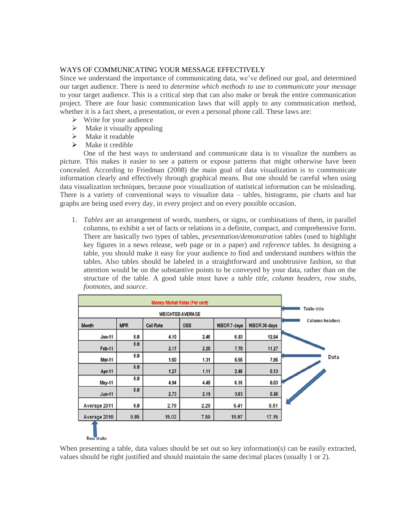# WAYS OF COMMUNICATING YOUR MESSAGE EFFECTIVELY

Since we understand the importance of communicating data, we've defined our goal, and determined our target audience. There is need to *determine which methods to use to communicate your message* to your target audience. This is a critical step that can also make or break the entire communication project. There are four basic communication laws that will apply to any communication method, whether it is a fact sheet, a presentation, or even a personal phone call. These laws are:

- $\triangleright$  Write for your audience
- $\triangleright$  Make it visually appealing
- $\triangleright$  Make it readable
- $\triangleright$  Make it credible

One of the best ways to understand and communicate data is to visualize the numbers as picture. This makes it easier to see a pattern or expose patterns that might otherwise have been concealed. According to Friedman (2008) the main goal of data visualization is to communicate information clearly and effectively through graphical means. But one should be careful when using data visualization techniques, because poor visualization of statistical information can be misleading. There is a variety of conventional ways to visualize data – tables, histograms, pie charts and bar graphs are being used every day, in every project and on every possible occasion.

1. *Tables* are an arrangement of words, [numbers,](http://dictionary.reference.com/browse/numbers) or signs, or combinations of them, in parallel columns, to exhibit a set of facts or relations in a definite, compact, and comprehensive form. There are basically two types of tables, *presentation/demonstration* tables (used to highlight key figures in a news release, web page or in a paper) and *reference* tables. In designing a table, you should make it easy for your audience to find and understand numbers within the tables. Also tables should be labeled in a straightforward and unobtrusive fashion, so that attention would be on the substantive points to be conveyed by your data, rather than on the structure of the table. A good table must have a *table title*, *column headers*, *row stubs, footnotes*, and *source*.

|               | Table title |                  |      |              |               |                |
|---------------|-------------|------------------|------|--------------|---------------|----------------|
| <b>Month</b>  | <b>MPR</b>  | <b>Call Rate</b> | OBB  | NIBOR 7-days | NIBOR 30-days | Column headers |
| $Jan-11$      | 6.0         | 4.10             | 2.46 | 6.93         | 12.84         |                |
| <b>Feb-11</b> | 6.0         | 2.17             | 2.20 | 7.70         | 11.27         |                |
| Mar-11        | 6.0         | 1.50             | 1.31 | 5.55         | 7.85          | Data           |
| Apr-11        | 6.0         | 1.27             | 1.11 | 2.46         | 5.13          |                |
| May-11        | 6.0         | 4.94             | 4.45 | 6.16         | 8.03          |                |
| <b>Jun-11</b> | 6.0         | 2.73             | 2.19 | 3.63         | 5.95          |                |
| Average 2011  | 6.0         | 2.79             | 2.29 | 5.41         | 8.51          |                |
| Average 2010  | 9.85        | 15.02            | 7.59 | 15.97        | 17.15         |                |
| Row stubs     |             |                  |      |              |               |                |

When presenting a table, data values should be set out so key information(s) can be easily extracted, values should be right justified and should maintain the same decimal places (usually 1 or 2).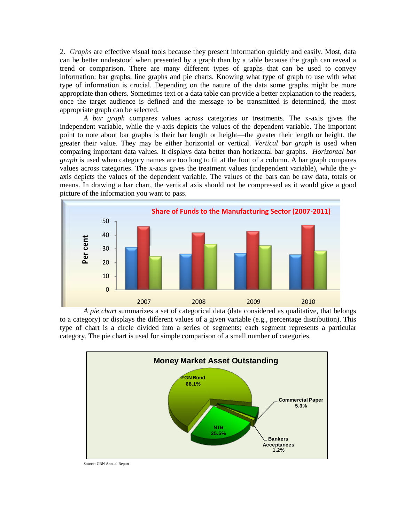2. *Graphs* are effective visual tools because they present information quickly and easily. Most, data can be better understood when presented by a graph than by a table because the graph can reveal a trend or comparison. There are many different types of graphs that can be used to convey information: bar graphs, line graphs and pie charts. Knowing what type of graph to use with what type of information is crucial. Depending on the nature of the data some graphs might be more appropriate than others. Sometimes text or a data table can provide a better explanation to the readers, once the target audience is defined and the message to be transmitted is determined, the most appropriate graph can be selected.

*A bar graph* compares values across categories or treatments. The x-axis gives the [independent variable,](http://scene.asu.edu/habitat/s_method.html#variable) while the y-axis depicts the values of the [dependent variable.](http://scene.asu.edu/habitat/s_method.html#variable) The important point to note about bar graphs is their bar length or height—the greater their length or height, the greater their value. They may be either horizontal or vertical. *Vertical bar graph* is used when comparing important data values. It displays data better than horizontal bar graphs. *Horizontal bar graph* is used when category names are too long to fit at the foot of a column. A bar graph compares values across categories. The x-axis gives the treatment values [\(independent variable\)](http://scene.asu.edu/habitat/s_method.html#variable), while the yaxis depicts the values of the [dependent variable.](http://scene.asu.edu/habitat/s_method.html#variable) The values of the bars can be raw data, totals or [means.](http://scene.asu.edu/habitat/stats.html#mean) In drawing a bar chart, the vertical axis should not be compressed as it would give a good picture of the information you want to pass.



to a category) or displays the different values of a given variable (e.g., percentage distribution). This *A pie chart* summarizes a set of categorical data (data considered as qualitative, that belongs type of chart is a circle divided into a series of segments; each segment represents a particular category. The pie chart is used for simple comparison of a small number of categories.



Source: CBN Annual Report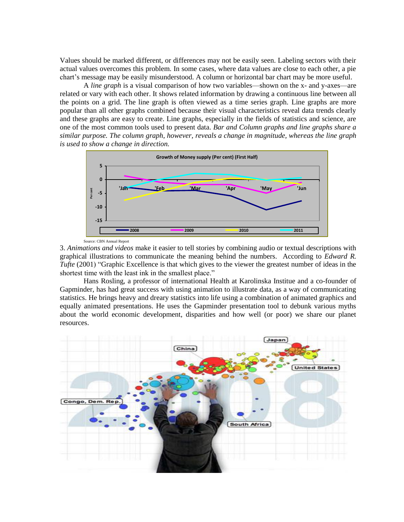Values should be marked different, or differences may not be easily seen. Labeling sectors with their actual values overcomes this problem. In some cases, where data values are close to each other, a pie chart's message may be easily misunderstood. A column or horizontal bar chart may be more useful.

A *line graph* is a visual comparison of how two variables—shown on the x- and y-axes—are related or vary with each other. It shows related information by drawing a continuous line between all the points on a grid. The line graph is often viewed as a time series graph. Line graphs are more popular than all other graphs combined because their visual characteristics reveal data trends clearly and these graphs are easy to create. Line graphs, especially in the fields of statistics and science, are one of the most common tools used to present data. *Bar and Column graphs and line graphs share a similar purpose. The column graph, however, reveals a change in magnitude, whereas the line graph is used to show a change in direction.*



Source: CBN Annual Report

3. *Animations and videos* make it easier to tell stories by combining audio or textual descriptions with graphical illustrations to communicate the meaning behind the numbers. According to *Edward R. Tufte* (2001) "Graphic Excellence is that which gives to the viewer the greatest number of ideas in the shortest time with the least ink in the smallest place."

Hans Rosling, a professor of international Health at Karolinska Institue and a co-founder of Gapminder, has had great success with using animation to illustrate data, as a way of communicating statistics. He brings heavy and dreary statistics into life using a combination of animated graphics and equally animated presentations. He uses the Gapminder presentation tool to debunk various myths about the world economic development, disparities and how well (or poor) we share our planet resources.

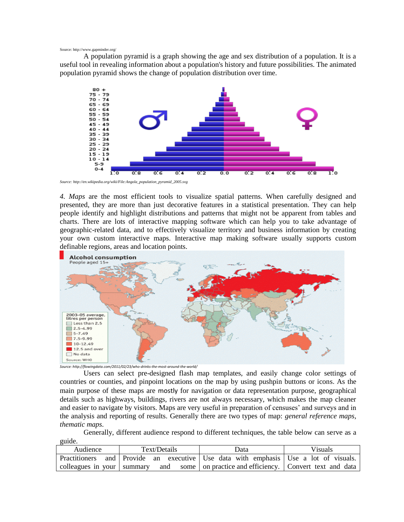Source: http://www.gapminder.org/

A population pyramid is a graph showing the age and sex distribution of a population. It is a useful tool in revealing information about a population's history and future possibilities. The animated population pyramid shows the change of population distribution over time.



*Source: http://en.wikipedia.org/wiki/File:Angola\_population\_pyramid\_2005.svg*

*4. Maps* are the most efficient tools to visualize spatial patterns. When carefully designed and presented, they are more than just decorative features in a statistical presentation. They can help people identify and highlight distributions and patterns that might not be apparent from tables and charts. There are lots of interactive mapping software which can help you to take advantage of geographic-related data, and to effectively visualize territory and business information by creating your own custom interactive maps. Interactive map making software usually supports custom definable regions, areas and location points.



*Source: http://flowingdata.com/2011/02/23/who-drinks-the-most-around-the-world/*

Users can select pre-designed flash map templates, and easily change color settings of countries or counties, and pinpoint locations on the map by using pushpin buttons or icons. As the main purpose of these maps are mostly for navigation or data representation purpose, geographical details such as highways, buildings, rivers are not always necessary, which makes the map cleaner and easier to navigate by visitors. Maps are very useful in preparation of censuses' and surveys and in the analysis and reporting of results. Generally there are two types of map: *general reference maps, thematic maps*.

Generally, different audience respond to different techniques, the table below can serve as a guide.

| Audience | Text/Details | Data                                                                                  | <b>Visuals</b> |
|----------|--------------|---------------------------------------------------------------------------------------|----------------|
|          |              | Practitioners and Provide an executive Use data with emphasis Use a lot of visuals.   |                |
|          |              | colleagues in your summary and some on practice and efficiency. Convert text and data |                |